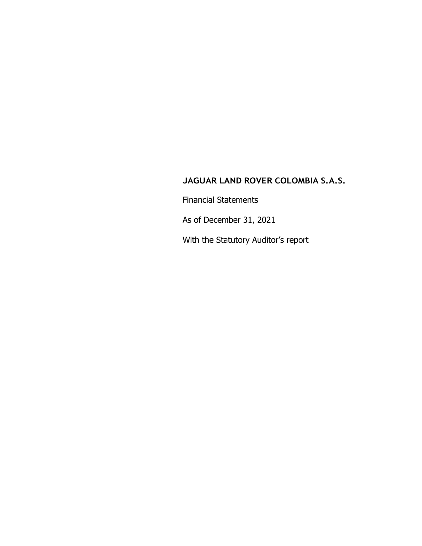Financial Statements

As of December 31, 2021

With the Statutory Auditor's report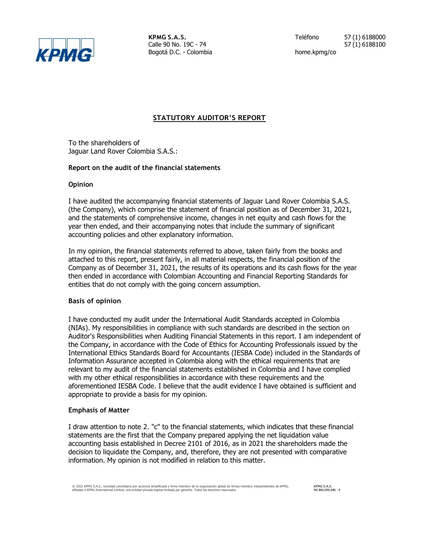

Bogotá D.C. - Colombia home.kpmg/co

**KPMG S.A.S.** Teléfono 57 (1) 6188000 Calle 90 No. 19C - 74 57 (1) 6188100

# **STATUTORY AUDITOR'S REPORT**

To the shareholders of Jaguar Land Rover Colombia S.A.S.:

# **Report on the audit of the financial statements**

# **Opinion**

I have audited the accompanying financial statements of Jaguar Land Rover Colombia S.A.S. (the Company), which comprise the statement of financial position as of December 31, 2021, and the statements of comprehensive income, changes in net equity and cash flows for the year then ended, and their accompanying notes that include the summary of significant accounting policies and other explanatory information.

In my opinion, the financial statements referred to above, taken fairly from the books and attached to this report, present fairly, in all material respects, the financial position of the Company as of December 31, 2021, the results of its operations and its cash flows for the year then ended in accordance with Colombian Accounting and Financial Reporting Standards for entities that do not comply with the going concern assumption.

# **Basis of opinion**

I have conducted my audit under the International Audit Standards accepted in Colombia (NIAs). My responsibilities in compliance with such standards are described in the section on Auditor's Responsibilities when Auditing Financial Statements in this report. I am independent of the Company, in accordance with the Code of Ethics for Accounting Professionals issued by the International Ethics Standards Board for Accountants (IESBA Code) included in the Standards of Information Assurance accepted in Colombia along with the ethical requirements that are relevant to my audit of the financial statements established in Colombia and I have complied with my other ethical responsibilities in accordance with these requirements and the aforementioned IESBA Code. I believe that the audit evidence I have obtained is sufficient and appropriate to provide a basis for my opinion.

# **Emphasis of Matter**

I draw attention to note 2. "c" to the financial statements, which indicates that these financial statements are the first that the Company prepared applying the net liquidation value accounting basis established in Decree 2101 of 2016, as in 2021 the shareholders made the decision to liquidate the Company, and, therefore, they are not presented with comparative information. My opinion is not modified in relation to this matter.

KPMG S.A.S. Nit 860.000.846 - 4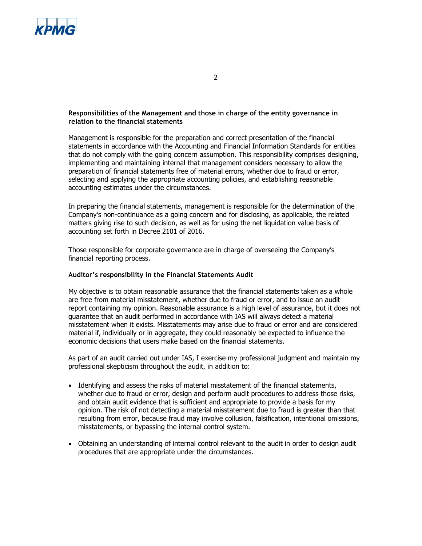

# **Responsibilities of the Management and those in charge of the entity governance in relation to the financial statements**

Management is responsible for the preparation and correct presentation of the financial statements in accordance with the Accounting and Financial Information Standards for entities that do not comply with the going concern assumption. This responsibility comprises designing, implementing and maintaining internal that management considers necessary to allow the preparation of financial statements free of material errors, whether due to fraud or error, selecting and applying the appropriate accounting policies, and establishing reasonable accounting estimates under the circumstances.

In preparing the financial statements, management is responsible for the determination of the Company's non-continuance as a going concern and for disclosing, as applicable, the related matters giving rise to such decision, as well as for using the net liquidation value basis of accounting set forth in Decree 2101 of 2016.

Those responsible for corporate governance are in charge of overseeing the Company's financial reporting process.

# **Auditor's responsibility in the Financial Statements Audit**

My objective is to obtain reasonable assurance that the financial statements taken as a whole are free from material misstatement, whether due to fraud or error, and to issue an audit report containing my opinion. Reasonable assurance is a high level of assurance, but it does not guarantee that an audit performed in accordance with IAS will always detect a material misstatement when it exists. Misstatements may arise due to fraud or error and are considered material if, individually or in aggregate, they could reasonably be expected to influence the economic decisions that users make based on the financial statements.

As part of an audit carried out under IAS, I exercise my professional judgment and maintain my professional skepticism throughout the audit, in addition to:

- Identifying and assess the risks of material misstatement of the financial statements, whether due to fraud or error, design and perform audit procedures to address those risks, and obtain audit evidence that is sufficient and appropriate to provide a basis for my opinion. The risk of not detecting a material misstatement due to fraud is greater than that resulting from error, because fraud may involve collusion, falsification, intentional omissions, misstatements, or bypassing the internal control system.
- Obtaining an understanding of internal control relevant to the audit in order to design audit procedures that are appropriate under the circumstances.

2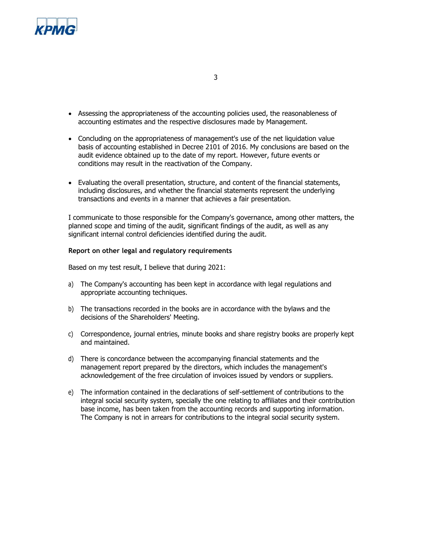

- Assessing the appropriateness of the accounting policies used, the reasonableness of accounting estimates and the respective disclosures made by Management.
- Concluding on the appropriateness of management's use of the net liquidation value basis of accounting established in Decree 2101 of 2016. My conclusions are based on the audit evidence obtained up to the date of my report. However, future events or conditions may result in the reactivation of the Company.
- Evaluating the overall presentation, structure, and content of the financial statements, including disclosures, and whether the financial statements represent the underlying transactions and events in a manner that achieves a fair presentation.

I communicate to those responsible for the Company's governance, among other matters, the planned scope and timing of the audit, significant findings of the audit, as well as any significant internal control deficiencies identified during the audit.

## **Report on other legal and regulatory requirements**

Based on my test result, I believe that during 2021:

- a) The Company's accounting has been kept in accordance with legal regulations and appropriate accounting techniques.
- b) The transactions recorded in the books are in accordance with the bylaws and the decisions of the Shareholders' Meeting.
- c) Correspondence, journal entries, minute books and share registry books are properly kept and maintained.
- d) There is concordance between the accompanying financial statements and the management report prepared by the directors, which includes the management's acknowledgement of the free circulation of invoices issued by vendors or suppliers.
- e) The information contained in the declarations of self-settlement of contributions to the integral social security system, specially the one relating to affiliates and their contribution base income, has been taken from the accounting records and supporting information. The Company is not in arrears for contributions to the integral social security system.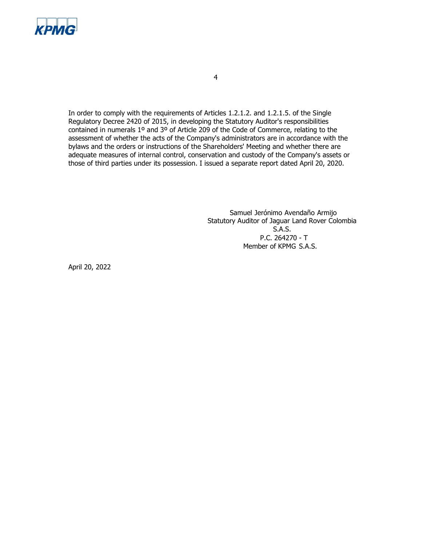

In order to comply with the requirements of Articles 1.2.1.2. and 1.2.1.5. of the Single Regulatory Decree 2420 of 2015, in developing the Statutory Auditor's responsibilities contained in numerals 1º and 3º of Article 209 of the Code of Commerce, relating to the assessment of whether the acts of the Company's administrators are in accordance with the bylaws and the orders or instructions of the Shareholders' Meeting and whether there are adequate measures of internal control, conservation and custody of the Company's assets or those of third parties under its possession. I issued a separate report dated April 20, 2020.

> Samuel Jerónimo Avendaño Armijo Statutory Auditor of Jaguar Land Rover Colombia S.A.S. P.C. 264270 - T Member of KPMG S.A.S.

April 20, 2022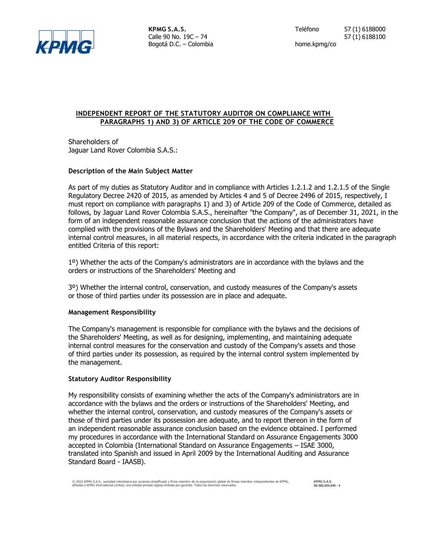

Bogotá D.C. – Colombia home.kpmg/co

# **INDEPENDENT REPORT OF THE STATUTORY AUDITOR ON COMPLIANCE WITH PARAGRAPHS 1) AND 3) OF ARTICLE 209 OF THE CODE OF COMMERCE**

Shareholders of Jaguar Land Rover Colombia S.A.S.:

# **Description of the Main Subject Matter**

As part of my duties as Statutory Auditor and in compliance with Articles 1.2.1.2 and 1.2.1.5 of the Single Regulatory Decree 2420 of 2015, as amended by Articles 4 and 5 of Decree 2496 of 2015, respectively, I must report on compliance with paragraphs 1) and 3) of Article 209 of the Code of Commerce, detailed as follows, by Jaguar Land Rover Colombia S.A.S., hereinafter "the Company", as of December 31, 2021, in the form of an independent reasonable assurance conclusion that the actions of the administrators have complied with the provisions of the Bylaws and the Shareholders' Meeting and that there are adequate internal control measures, in all material respects, in accordance with the criteria indicated in the paragraph entitled Criteria of this report:

1º) Whether the acts of the Company's administrators are in accordance with the bylaws and the orders or instructions of the Shareholders' Meeting and

3º) Whether the internal control, conservation, and custody measures of the Company's assets or those of third parties under its possession are in place and adequate.

# **Management Responsibility**

The Company's management is responsible for compliance with the bylaws and the decisions of the Shareholders' Meeting, as well as for designing, implementing, and maintaining adequate internal control measures for the conservation and custody of the Company's assets and those of third parties under its possession, as required by the internal control system implemented by the management.

# **Statutory Auditor Responsibility**

My responsibility consists of examining whether the acts of the Company's administrators are in accordance with the bylaws and the orders or instructions of the Shareholders' Meeting, and whether the internal control, conservation, and custody measures of the Company's assets or those of third parties under its possession are adequate, and to report thereon in the form of an independent reasonable assurance conclusion based on the evidence obtained. I performed my procedures in accordance with the International Standard on Assurance Engagements 3000 accepted in Colombia (International Standard on Assurance Engagements – ISAE 3000, translated into Spanish and issued in April 2009 by the International Auditing and Assurance Standard Board - IAASB).

KPMG S.A.S. Nit 860.000.846 - 4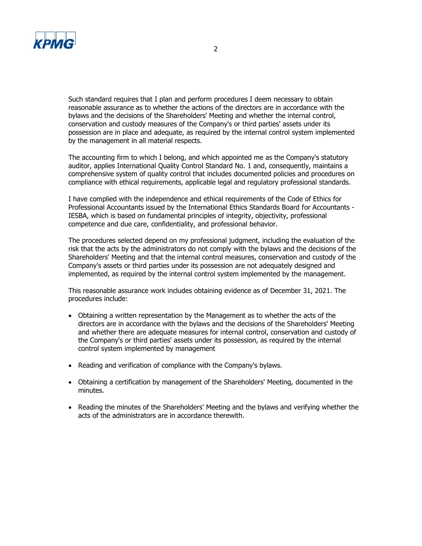

Such standard requires that I plan and perform procedures I deem necessary to obtain reasonable assurance as to whether the actions of the directors are in accordance with the bylaws and the decisions of the Shareholders' Meeting and whether the internal control, conservation and custody measures of the Company's or third parties' assets under its possession are in place and adequate, as required by the internal control system implemented by the management in all material respects.

The accounting firm to which I belong, and which appointed me as the Company's statutory auditor, applies International Quality Control Standard No. 1 and, consequently, maintains a comprehensive system of quality control that includes documented policies and procedures on compliance with ethical requirements, applicable legal and regulatory professional standards.

I have complied with the independence and ethical requirements of the Code of Ethics for Professional Accountants issued by the International Ethics Standards Board for Accountants - IESBA, which is based on fundamental principles of integrity, objectivity, professional competence and due care, confidentiality, and professional behavior.

The procedures selected depend on my professional judgment, including the evaluation of the risk that the acts by the administrators do not comply with the bylaws and the decisions of the Shareholders' Meeting and that the internal control measures, conservation and custody of the Company's assets or third parties under its possession are not adequately designed and implemented, as required by the internal control system implemented by the management.

This reasonable assurance work includes obtaining evidence as of December 31, 2021. The procedures include:

- Obtaining a written representation by the Management as to whether the acts of the directors are in accordance with the bylaws and the decisions of the Shareholders' Meeting and whether there are adequate measures for internal control, conservation and custody of the Company's or third parties' assets under its possession, as required by the internal control system implemented by management
- Reading and verification of compliance with the Company's bylaws.
- Obtaining a certification by management of the Shareholders' Meeting, documented in the minutes.
- Reading the minutes of the Shareholders' Meeting and the bylaws and verifying whether the acts of the administrators are in accordance therewith.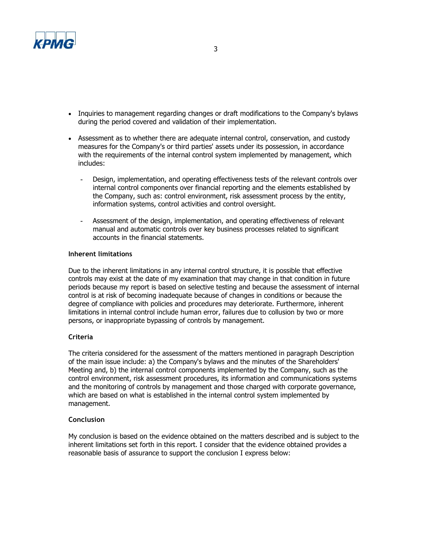

- Inquiries to management regarding changes or draft modifications to the Company's bylaws during the period covered and validation of their implementation.
- Assessment as to whether there are adequate internal control, conservation, and custody measures for the Company's or third parties' assets under its possession, in accordance with the requirements of the internal control system implemented by management, which includes:
	- Design, implementation, and operating effectiveness tests of the relevant controls over internal control components over financial reporting and the elements established by the Company, such as: control environment, risk assessment process by the entity, information systems, control activities and control oversight.
	- Assessment of the design, implementation, and operating effectiveness of relevant manual and automatic controls over key business processes related to significant accounts in the financial statements.

# **Inherent limitations**

Due to the inherent limitations in any internal control structure, it is possible that effective controls may exist at the date of my examination that may change in that condition in future periods because my report is based on selective testing and because the assessment of internal control is at risk of becoming inadequate because of changes in conditions or because the degree of compliance with policies and procedures may deteriorate. Furthermore, inherent limitations in internal control include human error, failures due to collusion by two or more persons, or inappropriate bypassing of controls by management.

# **Criteria**

The criteria considered for the assessment of the matters mentioned in paragraph Description of the main issue include: a) the Company's bylaws and the minutes of the Shareholders' Meeting and, b) the internal control components implemented by the Company, such as the control environment, risk assessment procedures, its information and communications systems and the monitoring of controls by management and those charged with corporate governance, which are based on what is established in the internal control system implemented by management.

# **Conclusion**

My conclusion is based on the evidence obtained on the matters described and is subject to the inherent limitations set forth in this report. I consider that the evidence obtained provides a reasonable basis of assurance to support the conclusion I express below: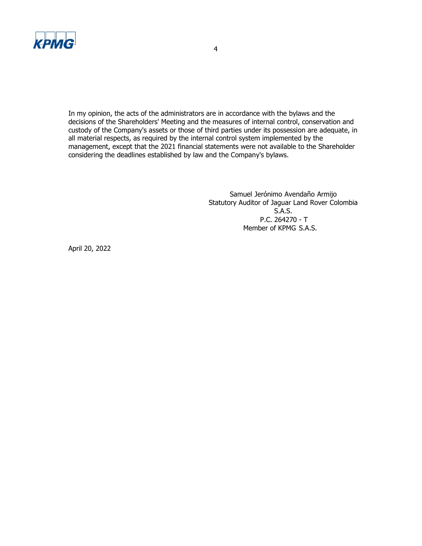

In my opinion, the acts of the administrators are in accordance with the bylaws and the decisions of the Shareholders' Meeting and the measures of internal control, conservation and custody of the Company's assets or those of third parties under its possession are adequate, in all material respects, as required by the internal control system implemented by the management, except that the 2021 financial statements were not available to the Shareholder considering the deadlines established by law and the Company's bylaws.

> Samuel Jerónimo Avendaño Armijo Statutory Auditor of Jaguar Land Rover Colombia S.A.S. P.C. 264270 - T Member of KPMG S.A.S.

April 20, 2022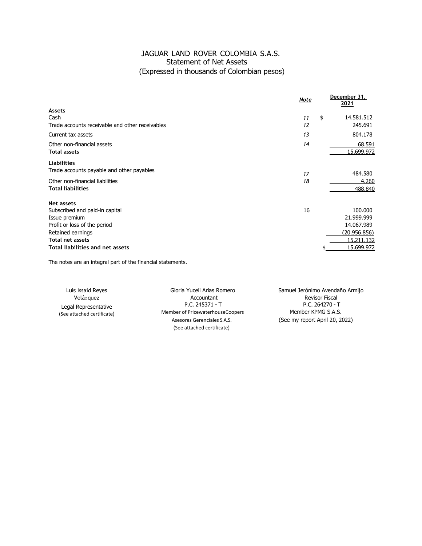# JAGUAR LAND ROVER COLOMBIA S.A.S. Statement of Net Assets (Expressed in thousands of Colombian pesos)

|                                                 | Note | December 31,<br><u>2021</u> |
|-------------------------------------------------|------|-----------------------------|
| <b>Assets</b>                                   |      |                             |
| Cash                                            | 11   | \$<br>14.581.512            |
| Trade accounts receivable and other receivables | 12   | 245.691                     |
| Current tax assets                              | 13   | 804.178                     |
| Other non-financial assets                      | 14   | 68.591                      |
| <b>Total assets</b>                             |      | 15.699.972                  |
| <b>Liabilities</b>                              |      |                             |
| Trade accounts payable and other payables       | 17   | 484.580                     |
| Other non-financial liabilities                 | 18   | 4,260                       |
| <b>Total liabilities</b>                        |      | 488.840                     |
| Net assets                                      |      |                             |
| Subscribed and paid-in capital                  | 16   | 100.000                     |
| Issue premium                                   |      | 21.999.999                  |
| Profit or loss of the period                    |      | 14.067.989                  |
| Retained earnings                               |      | (20.956.856)                |
| <b>Total net assets</b>                         |      | 15.211.132                  |
| Total liabilities and net assets                |      | 15.699.972                  |

The notes are an integral part of the financial statements.

| Luis Issaid Reyes          | Gloria Yuceli Arias Romero                                | Samuel Jerónimo Avendaño Armijo |
|----------------------------|-----------------------------------------------------------|---------------------------------|
| Velázquez                  | Accountant                                                | <b>Revisor Fiscal</b>           |
| Legal Representative       | $P.C. 245371 - T$                                         | $P.C. 264270 - T$               |
| (See attached certificate) | Member of PricewaterhouseCoopers                          | Member KPMG S.A.S.              |
|                            | Asesores Gerenciales S.A.S.<br>(See attached certificate) | (See my report April 20, 2022)  |
|                            |                                                           |                                 |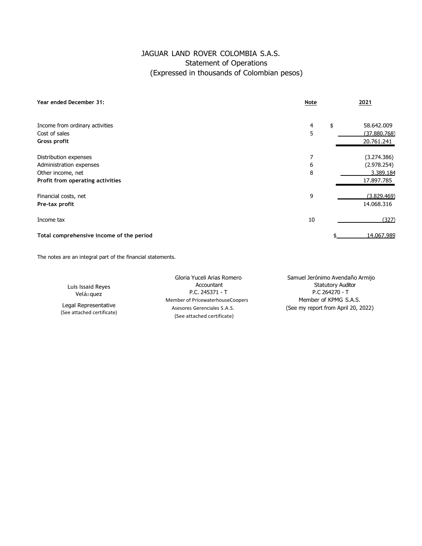# JAGUAR LAND ROVER COLOMBIA S.A.S. Statement of Operations (Expressed in thousands of Colombian pesos)

| Year ended December 31:                  | Note    | 2021         |
|------------------------------------------|---------|--------------|
| Income from ordinary activities          | \$<br>4 | 58.642.009   |
| Cost of sales                            | 5       | (37.880.768) |
| Gross profit                             |         | 20.761.241   |
| Distribution expenses                    | 7       | (3.274.386)  |
| Administration expenses                  | 6       | (2.978.254)  |
| Other income, net                        | 8       | 3.389.184    |
| Profit from operating activities         |         | 17.897.785   |
| Financial costs, net                     | 9       | (3.829.469)  |
| Pre-tax profit                           |         | 14.068.316   |
| Income tax                               | 10      | (327)        |
| Total comprehensive income of the period |         | 14.067.989   |

The notes are an integral part of the financial statements.

Luis Issaid Reyes Velázquez

Legal Representative (See attached certificate)

P.C. 245371 - T Member of PricewaterhouseCoopers Member of KPMG S.A.S. (See attached certificate)

Gloria Yuceli Arias Romero Samuel Jerónimo Avendaño Armijo Accountant Statutory Auditor Asesores Gerenciales S.A.S. (See my report from April 20, 2022)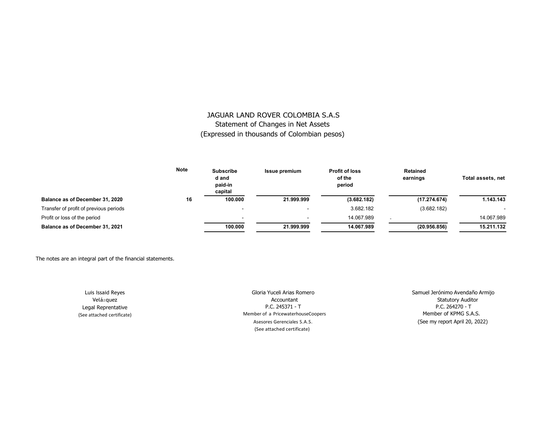# JAGUAR LAND ROVER COLOMBIA S.A.S Statement of Changes in Net Assets (Expressed in thousands of Colombian pesos)

|                                        | <b>Note</b> | <b>Subscribe</b><br>d and<br>paid-in<br>capital | <b>Issue premium</b> | <b>Profit of loss</b><br>of the<br>period | Retained<br>earnings | Total assets, net |
|----------------------------------------|-------------|-------------------------------------------------|----------------------|-------------------------------------------|----------------------|-------------------|
| Balance as of December 31, 2020        | 16          | 100.000                                         | 21.999.999           | (3.682.182)                               | (17.274.674)         | 1.143.143         |
| Transfer of profit of previous periods |             | <b>.</b>                                        |                      | 3.682.182                                 | (3.682.182)          |                   |
| Profit or loss of the period           |             | -                                               | . .                  | 14.067.989                                |                      | 14.067.989        |
| Balance as of December 31, 2021        |             | 100.000                                         | 21.999.999           | 14.067.989                                | (20.956.856)         | 15.211.132        |

The notes are an integral part of the financial statements.

Luis Issaid Reyes Velázquez Legal Reprentative (See attached certificate)

Gloria Yuceli Arias Romero **Samuel Jerónimo Avendaño Armijo** P.C. 245371 - T Member of a PricewaterhouseCoopers **Member of KPMG S.A.S.** Member of KPMG S.A.S. (See attached certificate)

Accountant Statutory Auditor Asesores Gerenciales S.A.S. (See my report April 20, 2022)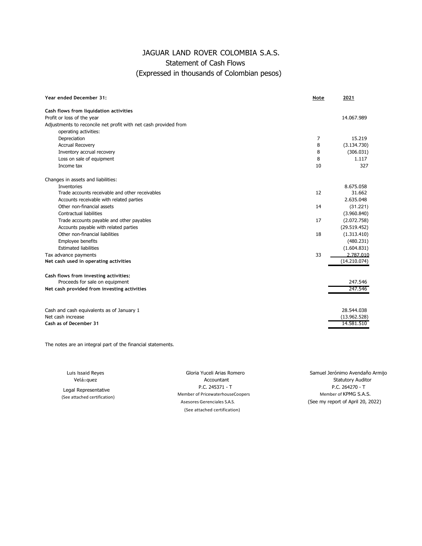# JAGUAR LAND ROVER COLOMBIA S.A.S. Statement of Cash Flows (Expressed in thousands of Colombian pesos)

| Year ended December 31:                                         | Note | 2021         |
|-----------------------------------------------------------------|------|--------------|
| Cash flows from liquidation activities                          |      |              |
| Profit or loss of the year                                      |      | 14.067.989   |
| Adjustments to reconcile net profit with net cash provided from |      |              |
| operating activities:                                           |      |              |
| Depreciation                                                    | 7    | 15.219       |
| <b>Accrual Recovery</b>                                         | 8    | (3.134.730)  |
| Inventory accrual recovery                                      | 8    | (306.031)    |
| Loss on sale of equipment                                       | 8    | 1.117        |
| Income tax                                                      | 10   | 327          |
| Changes in assets and liabilities:                              |      |              |
| <b>Inventories</b>                                              |      | 8.675.058    |
| Trade accounts receivable and other receivables                 | 12   | 31.662       |
| Accounts receivable with related parties                        |      | 2.635.048    |
| Other non-financial assets                                      | 14   | (31.221)     |
| Contractual liabilities                                         |      | (3.960.840)  |
| Trade accounts payable and other payables                       | 17   | (2.072.758)  |
| Accounts payable with related parties                           |      | (29.519.452) |
| Other non-financial liabilities                                 | 18   | (1.313.410)  |
| Employee benefits                                               |      | (480.231)    |
| <b>Estimated liabilities</b>                                    |      | (1.604.831)  |
| Tax advance payments                                            | 33   | 2.787.010    |
| Net cash used in operating activities                           |      | (14.210.074) |
| Cash flows from investing activities:                           |      |              |
| Proceeds for sale on equipment                                  |      | 247.546      |
| Net cash provided from investing activities                     |      | 247.546      |
| Cash and cash equivalents as of January 1                       |      | 28.544.038   |
| Net cash increase                                               |      | (13.962.528) |
| Cash as of December 31                                          |      | 14.581.510   |
|                                                                 |      |              |

The notes are an integral part of the financial statements.

Luis Issaid Reyes Velázquez

 Legal Representative (See attached certification)

Gloria Yuceli Arias Romero Samuel Jerónimo Avendaño Armijo Member of PricewaterhouseCoopers Member of KPMG S.A.S. Asesores Gerenciales S.A.S. (See my report of April 20, 2022) (See attached certification)

Accountant Statutory Auditor P.C. 264270 - T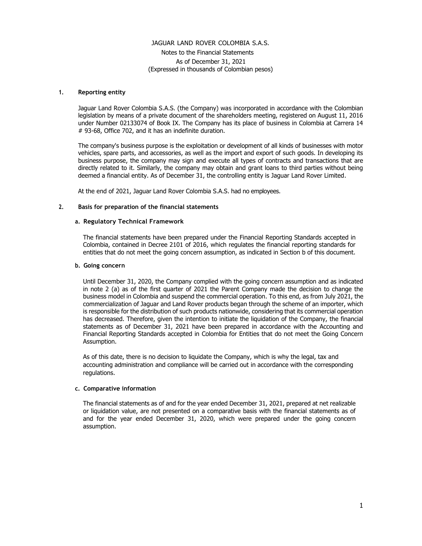Notes to the Financial Statements As of December 31, 2021 (Expressed in thousands of Colombian pesos)

#### **1. Reporting entity**

Jaguar Land Rover Colombia S.A.S. (the Company) was incorporated in accordance with the Colombian legislation by means of a private document of the shareholders meeting, registered on August 11, 2016 under Number 02133074 of Book IX. The Company has its place of business in Colombia at Carrera 14 # 93-68, Office 702, and it has an indefinite duration.

The company's business purpose is the exploitation or development of all kinds of businesses with motor vehicles, spare parts, and accessories, as well as the import and export of such goods. In developing its business purpose, the company may sign and execute all types of contracts and transactions that are directly related to it. Similarly, the company may obtain and grant loans to third parties without being deemed a financial entity. As of December 31, the controlling entity is Jaguar Land Rover Limited.

At the end of 2021, Jaguar Land Rover Colombia S.A.S. had no employees.

#### **2. Basis for preparation of the financial statements**

#### **a. Regulatory Technical Framework**

The financial statements have been prepared under the Financial Reporting Standards accepted in Colombia, contained in Decree 2101 of 2016, which regulates the financial reporting standards for entities that do not meet the going concern assumption, as indicated in Section b of this document.

#### **b. Going concern**

Until December 31, 2020, the Company complied with the going concern assumption and as indicated in note 2 (a) as of the first quarter of 2021 the Parent Company made the decision to change the business model in Colombia and suspend the commercial operation. To this end, as from July 2021, the commercialization of Jaguar and Land Rover products began through the scheme of an importer, which is responsible for the distribution of such products nationwide, considering that its commercial operation has decreased. Therefore, given the intention to initiate the liquidation of the Company, the financial statements as of December 31, 2021 have been prepared in accordance with the Accounting and Financial Reporting Standards accepted in Colombia for Entities that do not meet the Going Concern Assumption.

As of this date, there is no decision to liquidate the Company, which is why the legal, tax and accounting administration and compliance will be carried out in accordance with the corresponding regulations.

#### **c. Comparative information**

The financial statements as of and for the year ended December 31, 2021, prepared at net realizable or liquidation value, are not presented on a comparative basis with the financial statements as of and for the year ended December 31, 2020, which were prepared under the going concern assumption.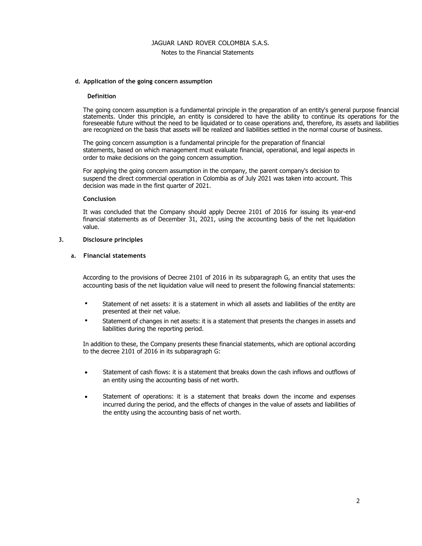#### Notes to the Financial Statements

#### **d. Application of the going concern assumption**

#### **Definition**

The going concern assumption is a fundamental principle in the preparation of an entity's general purpose financial statements. Under this principle, an entity is considered to have the ability to continue its operations for the foreseeable future without the need to be liquidated or to cease operations and, therefore, its assets and liabilities are recognized on the basis that assets will be realized and liabilities settled in the normal course of business.

The going concern assumption is a fundamental principle for the preparation of financial statements, based on which management must evaluate financial, operational, and legal aspects in order to make decisions on the going concern assumption.

For applying the going concern assumption in the company, the parent company's decision to suspend the direct commercial operation in Colombia as of July 2021 was taken into account. This decision was made in the first quarter of 2021.

#### **Conclusion**

It was concluded that the Company should apply Decree 2101 of 2016 for issuing its year-end financial statements as of December 31, 2021, using the accounting basis of the net liquidation value.

#### **3. Disclosure principles**

#### **a. Financial statements**

According to the provisions of Decree 2101 of 2016 in its subparagraph G, an entity that uses the accounting basis of the net liquidation value will need to present the following financial statements:

- Statement of net assets: it is a statement in which all assets and liabilities of the entity are presented at their net value.
- Statement of changes in net assets: it is a statement that presents the changes in assets and liabilities during the reporting period.

In addition to these, the Company presents these financial statements, which are optional according to the decree 2101 of 2016 in its subparagraph G:

- Statement of cash flows: it is a statement that breaks down the cash inflows and outflows of an entity using the accounting basis of net worth.
- Statement of operations: it is a statement that breaks down the income and expenses incurred during the period, and the effects of changes in the value of assets and liabilities of the entity using the accounting basis of net worth.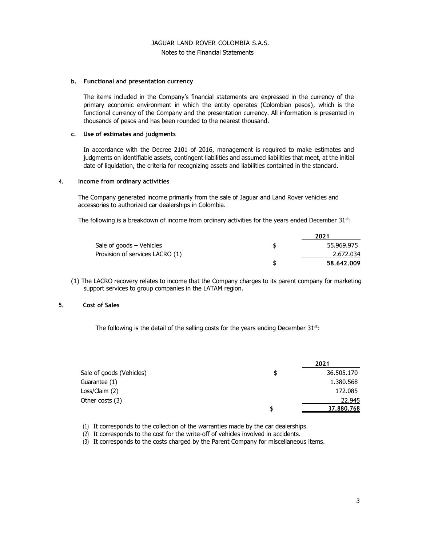# JAGUAR LAND ROVER COLOMBIA S.A.S. Notes to the Financial Statements

#### **b. Functional and presentation currency**

The items included in the Company's financial statements are expressed in the currency of the primary economic environment in which the entity operates (Colombian pesos), which is the functional currency of the Company and the presentation currency. All information is presented in thousands of pesos and has been rounded to the nearest thousand.

#### **c. Use of estimates and judgments**

In accordance with the Decree 2101 of 2016, management is required to make estimates and judgments on identifiable assets, contingent liabilities and assumed liabilities that meet, at the initial date of liquidation, the criteria for recognizing assets and liabilities contained in the standard.

#### **4. Income from ordinary activities**

The Company generated income primarily from the sale of Jaguar and Land Rover vehicles and accessories to authorized car dealerships in Colombia.

The following is a breakdown of income from ordinary activities for the years ended December  $31<sup>st</sup>$ :

|                                 | 2021       |
|---------------------------------|------------|
| Sale of goods – Vehicles        | 55.969.975 |
| Provision of services LACRO (1) | 2.672.034  |
|                                 | 58,642,009 |

(1) The LACRO recovery relates to income that the Company charges to its parent company for marketing support services to group companies in the LATAM region.

#### **5. Cost of Sales**

The following is the detail of the selling costs for the years ending December  $31<sup>st</sup>$ :

|                          | 2021             |
|--------------------------|------------------|
| Sale of goods (Vehicles) | \$<br>36.505.170 |
| Guarantee (1)            | 1.380.568        |
| Loss/Claim (2)           | 172.085          |
| Other costs (3)          | 22.945           |
|                          | \$<br>37,880,768 |

(1) It corresponds to the collection of the warranties made by the car dealerships.

(2) It corresponds to the cost for the write-off of vehicles involved in accidents.

(3) It corresponds to the costs charged by the Parent Company for miscellaneous items.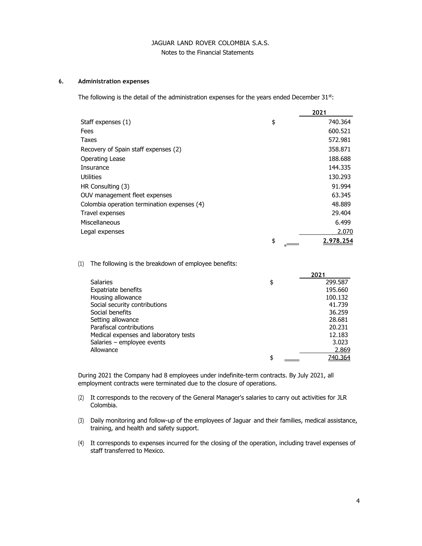# JAGUAR LAND ROVER COLOMBIA S.A.S. Notes to the Financial Statements

#### **6. Administration expenses**

The following is the detail of the administration expenses for the years ended December  $31<sup>st</sup>$ :

|                                             | 2021            |
|---------------------------------------------|-----------------|
| Staff expenses (1)                          | \$<br>740.364   |
| Fees                                        | 600.521         |
| Taxes                                       | 572.981         |
| Recovery of Spain staff expenses (2)        | 358.871         |
| Operating Lease                             | 188.688         |
| Insurance                                   | 144.335         |
| Utilities                                   | 130.293         |
| HR Consulting (3)                           | 91.994          |
| OUV management fleet expenses               | 63.345          |
| Colombia operation termination expenses (4) | 48.889          |
| Travel expenses                             | 29.404          |
| Miscellaneous                               | 6.499           |
| Legal expenses                              | 2.070           |
|                                             | \$<br>2.978.254 |

(1) The following is the breakdown of employee benefits:

|                                       | 2021          |
|---------------------------------------|---------------|
| <b>Salaries</b>                       | \$<br>299.587 |
| <b>Expatriate benefits</b>            | 195.660       |
| Housing allowance                     | 100.132       |
| Social security contributions         | 41.739        |
| Social benefits                       | 36.259        |
| Setting allowance                     | 28.681        |
| Parafiscal contributions              | 20.231        |
| Medical expenses and laboratory tests | 12.183        |
| Salaries - employee events            | 3.023         |
| Allowance                             | 2.869         |
|                                       | \$<br>740.364 |

During 2021 the Company had 8 employees under indefinite-term contracts. By July 2021, all employment contracts were terminated due to the closure of operations.

- (2) It corresponds to the recovery of the General Manager's salaries to carry out activities for JLR Colombia.
- (3) Daily monitoring and follow-up of the employees of Jaguar and their families, medical assistance, training, and health and safety support.
- (4) It corresponds to expenses incurred for the closing of the operation, including travel expenses of staff transferred to Mexico.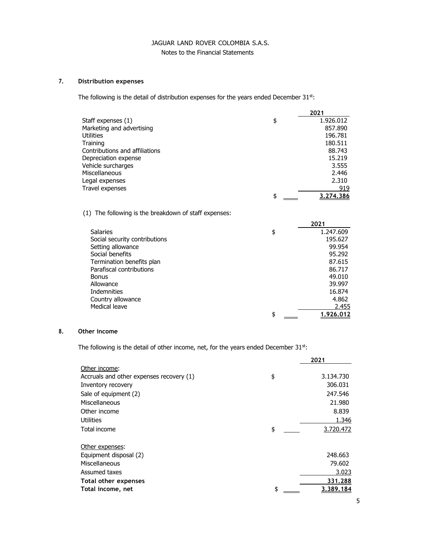# Notes to the Financial Statements

# **7. Distribution expenses**

The following is the detail of distribution expenses for the years ended December 31st:

|                                                          | 2021            |
|----------------------------------------------------------|-----------------|
| Staff expenses (1)                                       | \$<br>1.926.012 |
| Marketing and advertising                                | 857,890         |
| Utilities                                                | 196.781         |
| Training                                                 | 180.511         |
| Contributions and affiliations                           | 88.743          |
| Depreciation expense                                     | 15.219          |
| Vehicle surcharges                                       | 3.555           |
| Miscellaneous                                            | 2.446           |
| Legal expenses                                           | 2.310           |
| Travel expenses                                          | 919             |
|                                                          | \$<br>3,274,386 |
| The following is the breakdown of staff expenses:<br>(1) |                 |
|                                                          | 2021            |
| <b>Salaries</b>                                          | \$<br>1.247.609 |
| Social security contributions                            | 195.627         |
| Setting allowance                                        | 99.954          |
| Social benefits                                          | 95.292          |
| Termination benefits plan                                | 87.615          |
| Parafiscal contributions                                 | 86.717          |
| <b>Bonus</b>                                             | 49.010          |
| Allowance                                                | 39.997          |

Indemnities 16.874 Country allowance 4.862<br>
Medical leave 2.455

# **8. Other income**

Medical leave

The following is the detail of other income, net, for the years ended December 31st:

|                                          | 2021            |
|------------------------------------------|-----------------|
| Other income:                            |                 |
| Accruals and other expenses recovery (1) | \$<br>3.134.730 |
| Inventory recovery                       | 306.031         |
| Sale of equipment (2)                    | 247.546         |
| Miscellaneous                            | 21.980          |
| Other income                             | 8.839           |
| Utilities                                | 1.346           |
| Total income                             | \$<br>3.720.472 |
| Other expenses:                          |                 |
| Equipment disposal (2)                   | 248.663         |
| Miscellaneous                            | 79.602          |
| Assumed taxes                            | 3.023           |
| Total other expenses                     | 331.288         |
| Total income, net                        | \$<br>3,389,184 |

 $\frac{1.926.012}{\frac{1.926.012}{\cdots}}$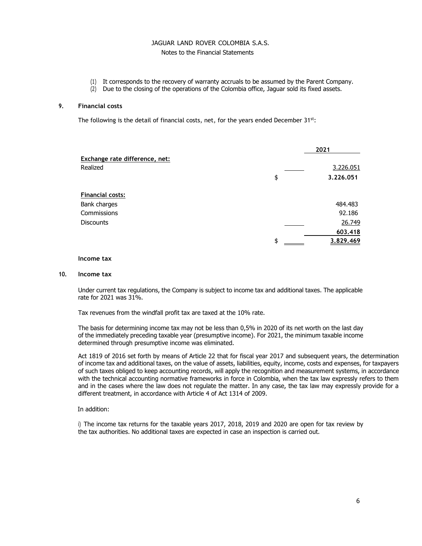# Notes to the Financial Statements

- (1) It corresponds to the recovery of warranty accruals to be assumed by the Parent Company.
- (2) Due to the closing of the operations of the Colombia office, Jaguar sold its fixed assets.

#### **9. Financial costs**

The following is the detail of financial costs, net, for the years ended December 31st:

|                                | 2021            |
|--------------------------------|-----------------|
| Exchange rate difference, net: |                 |
| Realized                       | 3.226.051       |
|                                | \$<br>3.226.051 |
| <b>Financial costs:</b>        |                 |
| Bank charges                   | 484.483         |
| Commissions                    | 92.186          |
| <b>Discounts</b>               | 26.749          |
|                                | 603.418         |
|                                | \$<br>3.829.469 |

#### **Income tax**

#### **10. Income tax**

Under current tax regulations, the Company is subject to income tax and additional taxes. The applicable rate for 2021 was 31%.

Tax revenues from the windfall profit tax are taxed at the 10% rate.

The basis for determining income tax may not be less than 0,5% in 2020 of its net worth on the last day of the immediately preceding taxable year (presumptive income). For 2021, the minimum taxable income determined through presumptive income was eliminated.

Act 1819 of 2016 set forth by means of Article 22 that for fiscal year 2017 and subsequent years, the determination of income tax and additional taxes, on the value of assets, liabilities, equity, income, costs and expenses, for taxpayers of such taxes obliged to keep accounting records, will apply the recognition and measurement systems, in accordance with the technical accounting normative frameworks in force in Colombia, when the tax law expressly refers to them and in the cases where the law does not regulate the matter. In any case, the tax law may expressly provide for a different treatment, in accordance with Article 4 of Act 1314 of 2009.

#### In addition:

i) The income tax returns for the taxable years 2017, 2018, 2019 and 2020 are open for tax review by the tax authorities. No additional taxes are expected in case an inspection is carried out.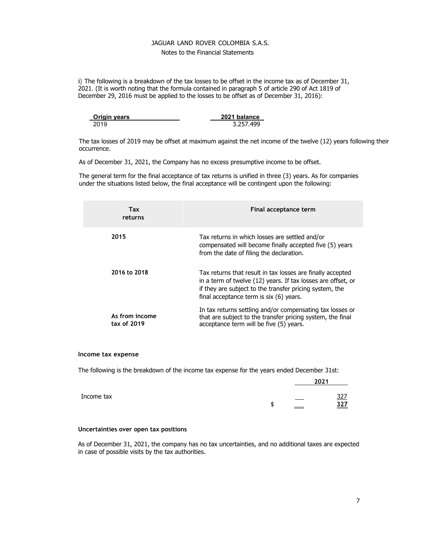#### Notes to the Financial Statements

ii) The following is a breakdown of the tax losses to be offset in the income tax as of December 31, 2021. (It is worth noting that the formula contained in paragraph 5 of article 290 of Act 1819 of December 29, 2016 must be applied to the losses to be offset as of December 31, 2016):

| <b>Origin years</b> | 2021 balance |  |
|---------------------|--------------|--|
| 2019                | 3.257.499    |  |

The tax losses of 2019 may be offset at maximum against the net income of the twelve (12) years following their occurrence.

As of December 31, 2021, the Company has no excess presumptive income to be offset.

The general term for the final acceptance of tax returns is unified in three (3) years. As for companies under the situations listed below, the final acceptance will be contingent upon the following:

| Tax<br>returns                | Final acceptance term                                                                                                                                                                                                            |
|-------------------------------|----------------------------------------------------------------------------------------------------------------------------------------------------------------------------------------------------------------------------------|
| 2015                          | Tax returns in which losses are settled and/or<br>compensated will become finally accepted five (5) years<br>from the date of filing the declaration.                                                                            |
| 2016 to 2018                  | Tax returns that result in tax losses are finally accepted<br>in a term of twelve (12) years. If tax losses are offset, or<br>if they are subject to the transfer pricing system, the<br>final acceptance term is six (6) years. |
| As from income<br>tax of 2019 | In tax returns settling and/or compensating tax losses or<br>that are subject to the transfer pricing system, the final<br>acceptance term will be five (5) years.                                                               |

#### **Income tax expense**

The following is the breakdown of the income tax expense for the years ended December 31st:

|            |   |          | 2021 |            |
|------------|---|----------|------|------------|
| Income tax |   |          |      | <u>327</u> |
|            | u | $\equiv$ |      | 327        |

#### **Uncertainties over open tax positions**

As of December 31, 2021, the company has no tax uncertainties, and no additional taxes are expected in case of possible visits by the tax authorities.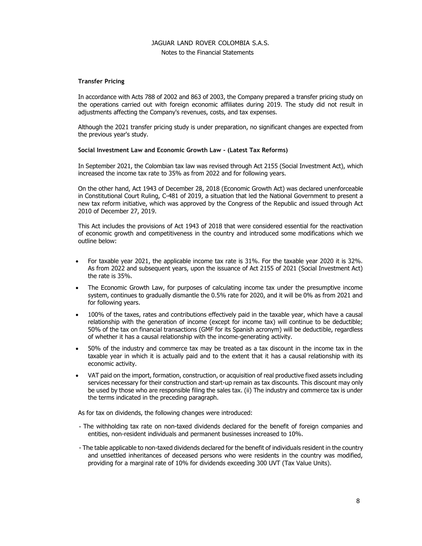# Notes to the Financial Statements

# **Transfer Pricing**

In accordance with Acts 788 of 2002 and 863 of 2003, the Company prepared a transfer pricing study on the operations carried out with foreign economic affiliates during 2019. The study did not result in adjustments affecting the Company's revenues, costs, and tax expenses.

Although the 2021 transfer pricing study is under preparation, no significant changes are expected from the previous year's study.

#### **Social Investment Law and Economic Growth Law - (Latest Tax Reforms)**

In September 2021, the Colombian tax law was revised through Act 2155 (Social Investment Act), which increased the income tax rate to 35% as from 2022 and for following years.

On the other hand, Act 1943 of December 28, 2018 (Economic Growth Act) was declared unenforceable in Constitutional Court Ruling, C-481 of 2019, a situation that led the National Government to present a new tax reform initiative, which was approved by the Congress of the Republic and issued through Act 2010 of December 27, 2019.

This Act includes the provisions of Act 1943 of 2018 that were considered essential for the reactivation of economic growth and competitiveness in the country and introduced some modifications which we outline below:

- For taxable year 2021, the applicable income tax rate is 31%. For the taxable year 2020 it is 32%. As from 2022 and subsequent years, upon the issuance of Act 2155 of 2021 (Social Investment Act) the rate is 35%.
- The Economic Growth Law, for purposes of calculating income tax under the presumptive income system, continues to gradually dismantle the 0.5% rate for 2020, and it will be 0% as from 2021 and for following years.
- 100% of the taxes, rates and contributions effectively paid in the taxable year, which have a causal relationship with the generation of income (except for income tax) will continue to be deductible; 50% of the tax on financial transactions (GMF for its Spanish acronym) will be deductible, regardless of whether it has a causal relationship with the income-generating activity.
- 50% of the industry and commerce tax may be treated as a tax discount in the income tax in the taxable year in which it is actually paid and to the extent that it has a causal relationship with its economic activity.
- VAT paid on the import, formation, construction, or acquisition of real productive fixed assets including services necessary for their construction and start-up remain as tax discounts. This discount may only be used by those who are responsible filing the sales tax. (ii) The industry and commerce tax is under the terms indicated in the preceding paragraph.

As for tax on dividends, the following changes were introduced:

- The withholding tax rate on non-taxed dividends declared for the benefit of foreign companies and entities, non-resident individuals and permanent businesses increased to 10%.
- The table applicable to non-taxed dividends declared for the benefit of individuals resident in the country and unsettled inheritances of deceased persons who were residents in the country was modified, providing for a marginal rate of 10% for dividends exceeding 300 UVT (Tax Value Units).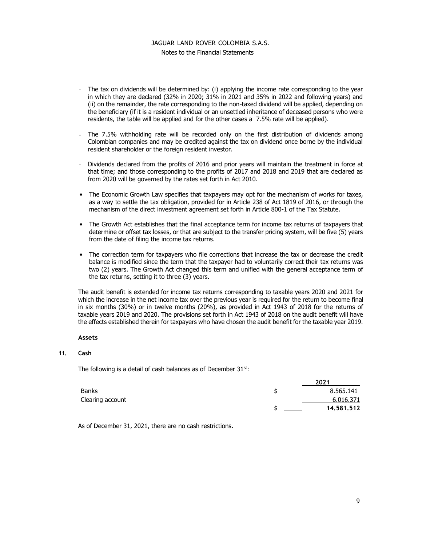# JAGUAR LAND ROVER COLOMBIA S.A.S. Notes to the Financial Statements

- The tax on dividends will be determined by: (i) applying the income rate corresponding to the year in which they are declared (32% in 2020; 31% in 2021 and 35% in 2022 and following years) and (ii) on the remainder, the rate corresponding to the non-taxed dividend will be applied, depending on the beneficiary (if it is a resident individual or an unsettled inheritance of deceased persons who were residents, the table will be applied and for the other cases a 7.5% rate will be applied).
- The 7.5% withholding rate will be recorded only on the first distribution of dividends among Colombian companies and may be credited against the tax on dividend once borne by the individual resident shareholder or the foreign resident investor.
- Dividends declared from the profits of 2016 and prior years will maintain the treatment in force at that time; and those corresponding to the profits of 2017 and 2018 and 2019 that are declared as from 2020 will be governed by the rates set forth in Act 2010.
- The Economic Growth Law specifies that taxpayers may opt for the mechanism of works for taxes, as a way to settle the tax obligation, provided for in Article 238 of Act 1819 of 2016, or through the mechanism of the direct investment agreement set forth in Article 800-1 of the Tax Statute.
- The Growth Act establishes that the final acceptance term for income tax returns of taxpayers that determine or offset tax losses, or that are subject to the transfer pricing system, will be five (5) years from the date of filing the income tax returns.
- The correction term for taxpayers who file corrections that increase the tax or decrease the credit balance is modified since the term that the taxpayer had to voluntarily correct their tax returns was two (2) years. The Growth Act changed this term and unified with the general acceptance term of the tax returns, setting it to three (3) years.

The audit benefit is extended for income tax returns corresponding to taxable years 2020 and 2021 for which the increase in the net income tax over the previous year is required for the return to become final in six months (30%) or in twelve months (20%), as provided in Act 1943 of 2018 for the returns of taxable years 2019 and 2020. The provisions set forth in Act 1943 of 2018 on the audit benefit will have the effects established therein for taxpayers who have chosen the audit benefit for the taxable year 2019.

#### **Assets**

#### **11. Cash**

The following is a detail of cash balances as of December  $31^{st}$ :

|                  | 2021       |
|------------------|------------|
| Banks            | 8.565.141  |
| Clearing account | 6.016.371  |
|                  | 14.581.512 |

As of December 31, 2021, there are no cash restrictions.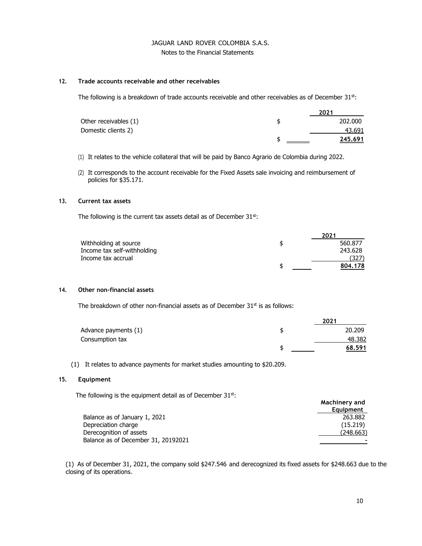# JAGUAR LAND ROVER COLOMBIA S.A.S. Notes to the Financial Statements

#### **12. Trade accounts receivable and other receivables**

The following is a breakdown of trade accounts receivable and other receivables as of December 31st:

|                       | 2021           |
|-----------------------|----------------|
| Other receivables (1) | 202,000        |
| Domestic clients 2)   | 43.691         |
|                       | <u>245.691</u> |

- (1) It relates to the vehicle collateral that will be paid by Banco Agrario de Colombia during 2022.
- (2) It corresponds to the account receivable for the Fixed Assets sale invoicing and reimbursement of policies for \$35.171.

# **13. Current tax assets**

The following is the current tax assets detail as of December 31st:

|                             | 2021          |
|-----------------------------|---------------|
| Withholding at source       | \$<br>560.877 |
| Income tax self-withholding | 243.628       |
| Income tax accrual          | (327)         |
|                             | 804.178       |

### **14. Other non-financial assets**

The breakdown of other non-financial assets as of December  $31<sup>st</sup>$  is as follows:

|                      | 2021   |
|----------------------|--------|
| Advance payments (1) | 20,209 |
| Consumption tax      | 48.382 |
|                      | 68.591 |

(1) It relates to advance payments for market studies amounting to \$20.209.

## **15. Equipment**

The following is the equipment detail as of December  $31^{st}$ :

|                                     | Machinery and<br>Equipment |
|-------------------------------------|----------------------------|
| Balance as of January 1, 2021       | 263,882                    |
| Depreciation charge                 | (15.219)                   |
| Derecognition of assets             | (248.663)                  |
| Balance as of December 31, 20192021 |                            |
|                                     |                            |

(1) As of December 31, 2021, the company sold \$247.546 and derecognized its fixed assets for \$248.663 due to the closing of its operations.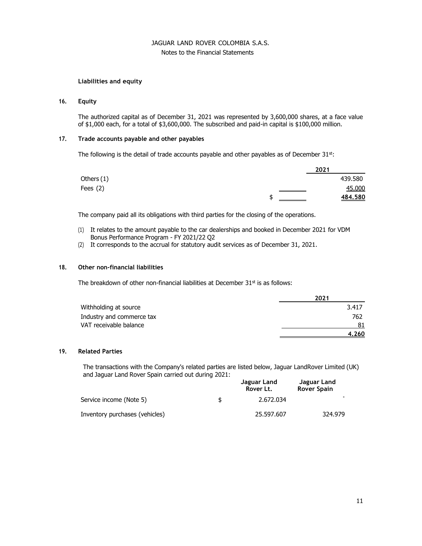# Notes to the Financial Statements

# **Liabilities and equity**

# **16. Equity**

The authorized capital as of December 31, 2021 was represented by 3,600,000 shares, at a face value of \$1,000 each, for a total of \$3,600,000. The subscribed and paid-in capital is \$100,000 million.

## **17. Trade accounts payable and other payables**

The following is the detail of trade accounts payable and other payables as of December  $31<sup>st</sup>$ :

|            | 2021    |
|------------|---------|
| Others (1) | 439.580 |
| Fees $(2)$ | 45.000  |
|            | 484.580 |

The company paid all its obligations with third parties for the closing of the operations.

- (1) It relates to the amount payable to the car dealerships and booked in December 2021 for VDM Bonus Performance Program - FY 2021/22 Q2
- (2) It corresponds to the accrual for statutory audit services as of December 31, 2021.

## **18. Other non-financial liabilities**

The breakdown of other non-financial liabilities at December  $31<sup>st</sup>$  is as follows:

|                           | 2021  |
|---------------------------|-------|
| Withholding at source     | 3.417 |
| Industry and commerce tax | 762   |
| VAT receivable balance    | 81    |
|                           | 4.260 |

#### **19. Related Parties**

The transactions with the Company's related parties are listed below, Jaguar LandRover Limited (UK) and Jaguar Land Rover Spain carried out during 2021:

|                                | Jaguar Land<br>Rover Lt. | Jaguar Land<br><b>Rover Spain</b> |
|--------------------------------|--------------------------|-----------------------------------|
| Service income (Note 5)        | \$<br>2.672.034          |                                   |
| Inventory purchases (vehicles) | 25,597,607               | 324.979                           |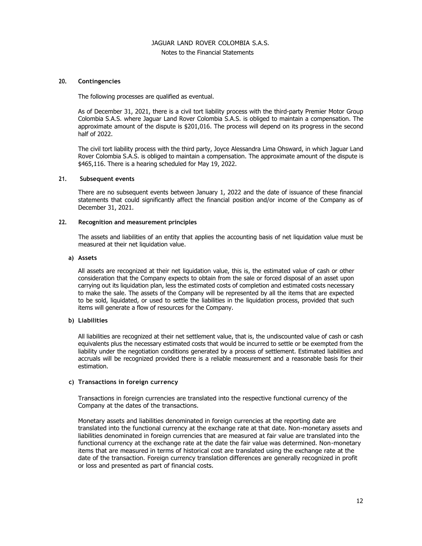#### Notes to the Financial Statements

#### **20. Contingencies**

The following processes are qualified as eventual.

As of December 31, 2021, there is a civil tort liability process with the third-party Premier Motor Group Colombia S.A.S. where Jaguar Land Rover Colombia S.A.S. is obliged to maintain a compensation. The approximate amount of the dispute is \$201,016. The process will depend on its progress in the second half of 2022.

The civil tort liability process with the third party, Joyce Alessandra Lima Ohsward, in which Jaguar Land Rover Colombia S.A.S. is obliged to maintain a compensation. The approximate amount of the dispute is \$465,116. There is a hearing scheduled for May 19, 2022.

#### **21. Subsequent events**

There are no subsequent events between January 1, 2022 and the date of issuance of these financial statements that could significantly affect the financial position and/or income of the Company as of December 31, 2021.

## **22. Recognition and measurement principles**

The assets and liabilities of an entity that applies the accounting basis of net liquidation value must be measured at their net liquidation value.

#### **a) Assets**

All assets are recognized at their net liquidation value, this is, the estimated value of cash or other consideration that the Company expects to obtain from the sale or forced disposal of an asset upon carrying out its liquidation plan, less the estimated costs of completion and estimated costs necessary to make the sale. The assets of the Company will be represented by all the items that are expected to be sold, liquidated, or used to settle the liabilities in the liquidation process, provided that such items will generate a flow of resources for the Company.

#### **b) Liabilities**

All liabilities are recognized at their net settlement value, that is, the undiscounted value of cash or cash equivalents plus the necessary estimated costs that would be incurred to settle or be exempted from the liability under the negotiation conditions generated by a process of settlement. Estimated liabilities and accruals will be recognized provided there is a reliable measurement and a reasonable basis for their estimation.

#### **c) Transactions in foreign currency**

Transactions in foreign currencies are translated into the respective functional currency of the Company at the dates of the transactions.

Monetary assets and liabilities denominated in foreign currencies at the reporting date are translated into the functional currency at the exchange rate at that date. Non-monetary assets and liabilities denominated in foreign currencies that are measured at fair value are translated into the functional currency at the exchange rate at the date the fair value was determined. Non-monetary items that are measured in terms of historical cost are translated using the exchange rate at the date of the transaction. Foreign currency translation differences are generally recognized in profit or loss and presented as part of financial costs.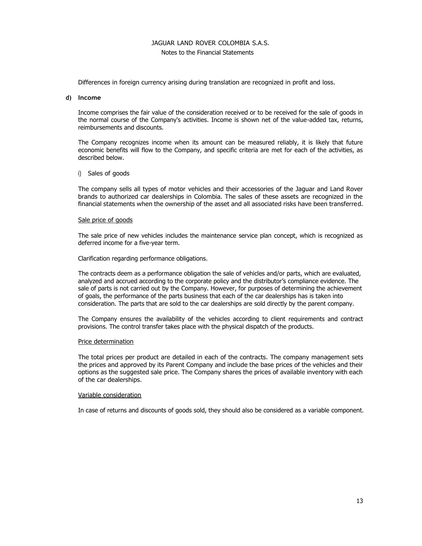#### Notes to the Financial Statements

Differences in foreign currency arising during translation are recognized in profit and loss.

#### **d) Income**

Income comprises the fair value of the consideration received or to be received for the sale of goods in the normal course of the Company's activities. Income is shown net of the value-added tax, returns, reimbursements and discounts.

The Company recognizes income when its amount can be measured reliably, it is likely that future economic benefits will flow to the Company, and specific criteria are met for each of the activities, as described below.

#### i) Sales of goods

The company sells all types of motor vehicles and their accessories of the Jaguar and Land Rover brands to authorized car dealerships in Colombia. The sales of these assets are recognized in the financial statements when the ownership of the asset and all associated risks have been transferred.

#### Sale price of goods

The sale price of new vehicles includes the maintenance service plan concept, which is recognized as deferred income for a five-year term.

Clarification regarding performance obligations.

The contracts deem as a performance obligation the sale of vehicles and/or parts, which are evaluated, analyzed and accrued according to the corporate policy and the distributor's compliance evidence. The sale of parts is not carried out by the Company. However, for purposes of determining the achievement of goals, the performance of the parts business that each of the car dealerships has is taken into consideration. The parts that are sold to the car dealerships are sold directly by the parent company.

The Company ensures the availability of the vehicles according to client requirements and contract provisions. The control transfer takes place with the physical dispatch of the products.

#### Price determination

The total prices per product are detailed in each of the contracts. The company management sets the prices and approved by its Parent Company and include the base prices of the vehicles and their options as the suggested sale price. The Company shares the prices of available inventory with each of the car dealerships.

#### Variable consideration

In case of returns and discounts of goods sold, they should also be considered as a variable component.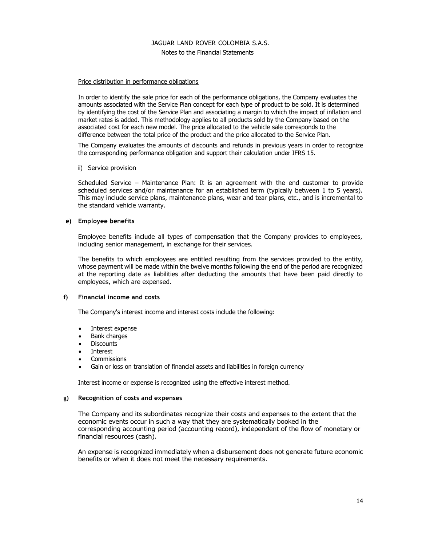# Notes to the Financial Statements

#### Price distribution in performance obligations

In order to identify the sale price for each of the performance obligations, the Company evaluates the amounts associated with the Service Plan concept for each type of product to be sold. It is determined by identifying the cost of the Service Plan and associating a margin to which the impact of inflation and market rates is added. This methodology applies to all products sold by the Company based on the associated cost for each new model. The price allocated to the vehicle sale corresponds to the difference between the total price of the product and the price allocated to the Service Plan.

The Company evaluates the amounts of discounts and refunds in previous years in order to recognize the corresponding performance obligation and support their calculation under IFRS 15.

#### ii) Service provision

Scheduled Service – Maintenance Plan: It is an agreement with the end customer to provide scheduled services and/or maintenance for an established term (typically between 1 to 5 years). This may include service plans, maintenance plans, wear and tear plans, etc., and is incremental to the standard vehicle warranty.

#### **e) Employee benefits**

Employee benefits include all types of compensation that the Company provides to employees, including senior management, in exchange for their services.

The benefits to which employees are entitled resulting from the services provided to the entity, whose payment will be made within the twelve months following the end of the period are recognized at the reporting date as liabilities after deducting the amounts that have been paid directly to employees, which are expensed.

#### **f) Financial income and costs**

The Company's interest income and interest costs include the following:

- Interest expense
- Bank charges
- Discounts
- **Interest**
- Commissions
- Gain or loss on translation of financial assets and liabilities in foreign currency

Interest income or expense is recognized using the effective interest method.

#### **g) Recognition of costs and expenses**

The Company and its subordinates recognize their costs and expenses to the extent that the economic events occur in such a way that they are systematically booked in the corresponding accounting period (accounting record), independent of the flow of monetary or financial resources (cash).

An expense is recognized immediately when a disbursement does not generate future economic benefits or when it does not meet the necessary requirements.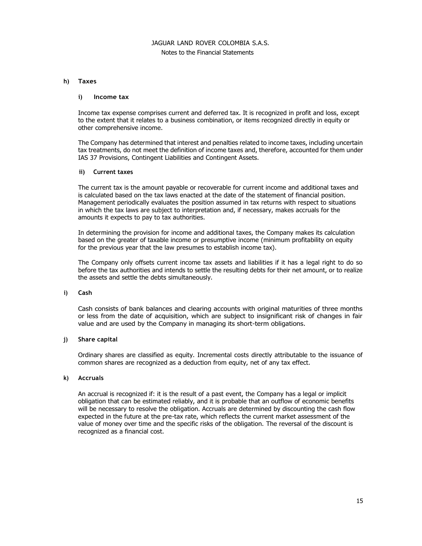#### Notes to the Financial Statements

#### **h) Taxes**

#### **i) Income tax**

Income tax expense comprises current and deferred tax. It is recognized in profit and loss, except to the extent that it relates to a business combination, or items recognized directly in equity or other comprehensive income.

The Company has determined that interest and penalties related to income taxes, including uncertain tax treatments, do not meet the definition of income taxes and, therefore, accounted for them under IAS 37 Provisions, Contingent Liabilities and Contingent Assets.

#### **ii) Current taxes**

The current tax is the amount payable or recoverable for current income and additional taxes and is calculated based on the tax laws enacted at the date of the statement of financial position. Management periodically evaluates the position assumed in tax returns with respect to situations in which the tax laws are subject to interpretation and, if necessary, makes accruals for the amounts it expects to pay to tax authorities.

In determining the provision for income and additional taxes, the Company makes its calculation based on the greater of taxable income or presumptive income (minimum profitability on equity for the previous year that the law presumes to establish income tax).

The Company only offsets current income tax assets and liabilities if it has a legal right to do so before the tax authorities and intends to settle the resulting debts for their net amount, or to realize the assets and settle the debts simultaneously.

#### **i) Cash**

Cash consists of bank balances and clearing accounts with original maturities of three months or less from the date of acquisition, which are subject to insignificant risk of changes in fair value and are used by the Company in managing its short-term obligations.

#### **j) Share capital**

Ordinary shares are classified as equity. Incremental costs directly attributable to the issuance of common shares are recognized as a deduction from equity, net of any tax effect.

#### **k) Accruals**

An accrual is recognized if: it is the result of a past event, the Company has a legal or implicit obligation that can be estimated reliably, and it is probable that an outflow of economic benefits will be necessary to resolve the obligation. Accruals are determined by discounting the cash flow expected in the future at the pre-tax rate, which reflects the current market assessment of the value of money over time and the specific risks of the obligation. The reversal of the discount is recognized as a financial cost.